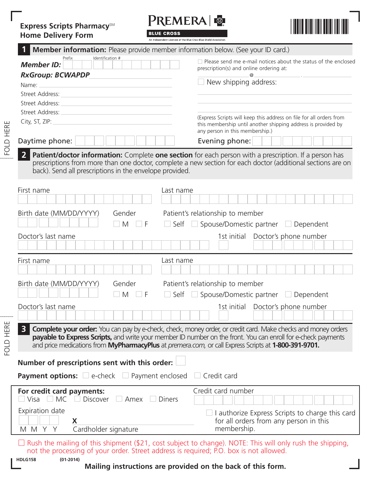## **Express Scripts PharmacySM Home Delivery Form**

PREMERA &

**BLUE CROSS** 



| ווווט ו פוטיוט שוווע                                                                                                                                                                                                                                                                                                                                      | An Independent Licensee of the Blue Cross Blue Shield Association                                                                                                       |  |  |
|-----------------------------------------------------------------------------------------------------------------------------------------------------------------------------------------------------------------------------------------------------------------------------------------------------------------------------------------------------------|-------------------------------------------------------------------------------------------------------------------------------------------------------------------------|--|--|
| <b>Member information:</b> Please provide member information below. (See your ID card.)                                                                                                                                                                                                                                                                   |                                                                                                                                                                         |  |  |
| Identification #<br>Prefix<br><b>Member ID:</b><br><b>RxGroup: BCWAPDP</b>                                                                                                                                                                                                                                                                                | $\Box$ Please send me e-mail notices about the status of the enclosed<br>prescription(s) and online ordering at:<br>@<br>New shipping address:                          |  |  |
| Name:                                                                                                                                                                                                                                                                                                                                                     |                                                                                                                                                                         |  |  |
| Street Address:                                                                                                                                                                                                                                                                                                                                           |                                                                                                                                                                         |  |  |
| Street Address:<br>Street Address:                                                                                                                                                                                                                                                                                                                        |                                                                                                                                                                         |  |  |
| City, ST, ZIP:                                                                                                                                                                                                                                                                                                                                            | (Express Scripts will keep this address on file for all orders from<br>this membership until another shipping address is provided by<br>any person in this membership.) |  |  |
| Daytime phone:                                                                                                                                                                                                                                                                                                                                            | Evening phone:                                                                                                                                                          |  |  |
| $\overline{2}$<br>Patient/doctor information: Complete one section for each person with a prescription. If a person has<br>prescriptions from more than one doctor, complete a new section for each doctor (additional sections are on<br>back). Send all prescriptions in the envelope provided.                                                         |                                                                                                                                                                         |  |  |
| First name<br>Last name                                                                                                                                                                                                                                                                                                                                   |                                                                                                                                                                         |  |  |
| Birth date (MM/DD/YYYY)<br>Gender                                                                                                                                                                                                                                                                                                                         | Patient's relationship to member                                                                                                                                        |  |  |
| $\Box$ M $\Box$ F                                                                                                                                                                                                                                                                                                                                         | Self Spouse/Domestic partner Dependent                                                                                                                                  |  |  |
| Doctor's last name                                                                                                                                                                                                                                                                                                                                        | Doctor's phone number<br>1st initial                                                                                                                                    |  |  |
| First name<br>Last name                                                                                                                                                                                                                                                                                                                                   |                                                                                                                                                                         |  |  |
| Birth date (MM/DD/YYYY)<br>Gender                                                                                                                                                                                                                                                                                                                         | Patient's relationship to member                                                                                                                                        |  |  |
| M<br>F                                                                                                                                                                                                                                                                                                                                                    | Self Spouse/Domestic partner Dependent                                                                                                                                  |  |  |
| Doctor's last name                                                                                                                                                                                                                                                                                                                                        | Doctor's phone number<br>1st initial                                                                                                                                    |  |  |
| 3<br><b>Complete your order:</b> You can pay by e-check, check, money order, or credit card. Make checks and money orders<br><b>payable to Express Scripts,</b> and write your member ID number on the front. You can enroll for e-check payments<br>and price medications from MyPharmacyPlus at premera.com, or call Express Scripts at 1-800-391-9701. |                                                                                                                                                                         |  |  |
| Number of prescriptions sent with this order:                                                                                                                                                                                                                                                                                                             |                                                                                                                                                                         |  |  |
| <b>Payment options:</b> $\Box$ e-check $\Box$ Payment enclosed<br>$\Box$ Credit card                                                                                                                                                                                                                                                                      |                                                                                                                                                                         |  |  |
| For credit card payments:<br>$M$ C<br><b>Discover</b><br>Amex<br><b>Diners</b><br>Visa                                                                                                                                                                                                                                                                    | Credit card number                                                                                                                                                      |  |  |
| Expiration date<br>X<br>Cardholder signature<br>M M<br>Y                                                                                                                                                                                                                                                                                                  | $\Box$ I authorize Express Scripts to charge this card<br>for all orders from any person in this<br>membership.                                                         |  |  |
| not the processing of your order. Street address is required; P.O. box is not allowed.                                                                                                                                                                                                                                                                    | Rush the mailing of this shipment (\$21, cost subject to change). NOTE: This will only rush the shipping,                                                               |  |  |

FOLD HERE

HERE FOLD

FOLD HERE

**Mailing instructions are provided on the back of this form.**

**HDLG158 (01-2014)**